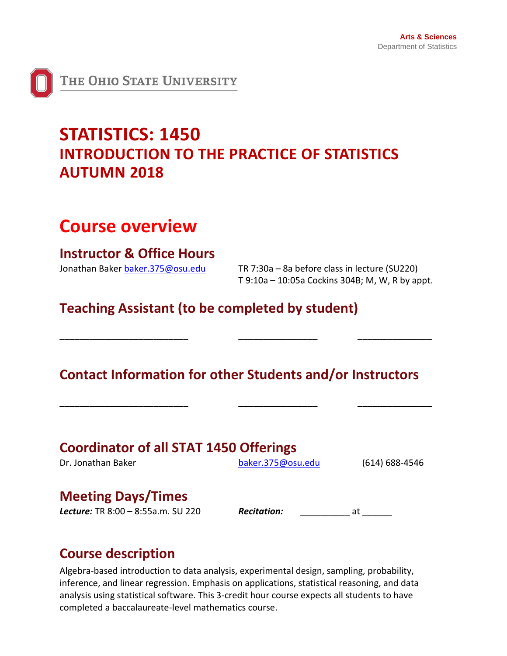

## **STATISTICS: 1450 INTRODUCTION TO THE PRACTICE OF STATISTICS AUTUMN 2018**

## **Course overview**

## **Instructor & Office Hours**

Jonathan Baker [baker.375@osu.edu](mailto:baker.375@osu.edu) TR 7:30a – 8a before class in lecture (SU220) T 9:10a – 10:05a Cockins 304B; M, W, R by appt.

**Teaching Assistant (to be completed by student)**

## **Contact Information for other Students and/or Instructors**

\_\_\_\_\_\_\_\_\_\_\_\_\_\_\_\_\_\_\_\_\_\_\_\_\_\_ \_\_\_\_\_\_\_\_\_\_\_\_\_\_\_\_ \_\_\_\_\_\_\_\_\_\_\_\_\_\_\_

\_\_\_\_\_\_\_\_\_\_\_\_\_\_\_\_\_\_\_\_\_\_\_\_\_\_ \_\_\_\_\_\_\_\_\_\_\_\_\_\_\_\_ \_\_\_\_\_\_\_\_\_\_\_\_\_\_\_

| <b>Coordinator of all STAT 1450 Offerings</b> |                   |                    |  |  |  |  |  |
|-----------------------------------------------|-------------------|--------------------|--|--|--|--|--|
| Dr. Jonathan Baker                            | baker.375@osu.edu | $(614) 688 - 4546$ |  |  |  |  |  |
| <b>Meeting Days/Times</b>                     |                   |                    |  |  |  |  |  |

### **Meeting Days/Times**

*Lecture:* TR 8:00 – 8:55a.m. SU 220 *Recitation:* \_\_\_\_\_\_\_\_\_\_ at \_\_\_\_\_\_

## **Course description**

Algebra-based introduction to data analysis, experimental design, sampling, probability, inference, and linear regression. Emphasis on applications, statistical reasoning, and data analysis using statistical software. This 3-credit hour course expects all students to have completed a baccalaureate-level mathematics course.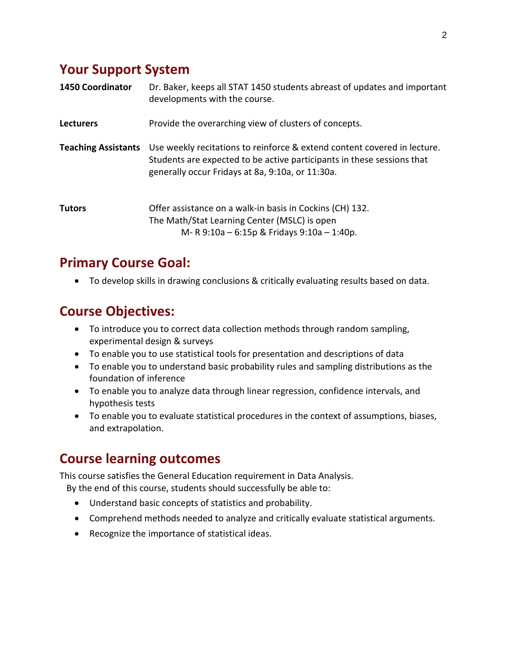## **Your Support System**

| <b>1450 Coordinator</b>    | Dr. Baker, keeps all STAT 1450 students abreast of updates and important<br>developments with the course.                                                                                              |
|----------------------------|--------------------------------------------------------------------------------------------------------------------------------------------------------------------------------------------------------|
| <b>Lecturers</b>           | Provide the overarching view of clusters of concepts.                                                                                                                                                  |
| <b>Teaching Assistants</b> | Use weekly recitations to reinforce & extend content covered in lecture.<br>Students are expected to be active participants in these sessions that<br>generally occur Fridays at 8a, 9:10a, or 11:30a. |
| <b>Tutors</b>              | Offer assistance on a walk-in basis in Cockins (CH) 132.<br>The Math/Stat Learning Center (MSLC) is open<br>M-R 9:10a - 6:15p & Fridays 9:10a - 1:40p.                                                 |

## **Primary Course Goal:**

• To develop skills in drawing conclusions & critically evaluating results based on data.

### **Course Objectives:**

- To introduce you to correct data collection methods through random sampling, experimental design & surveys
- To enable you to use statistical tools for presentation and descriptions of data
- To enable you to understand basic probability rules and sampling distributions as the foundation of inference
- To enable you to analyze data through linear regression, confidence intervals, and hypothesis tests
- To enable you to evaluate statistical procedures in the context of assumptions, biases, and extrapolation.

## **Course learning outcomes**

This course satisfies the General Education requirement in Data Analysis.

By the end of this course, students should successfully be able to:

- Understand basic concepts of statistics and probability.
- Comprehend methods needed to analyze and critically evaluate statistical arguments.
- Recognize the importance of statistical ideas.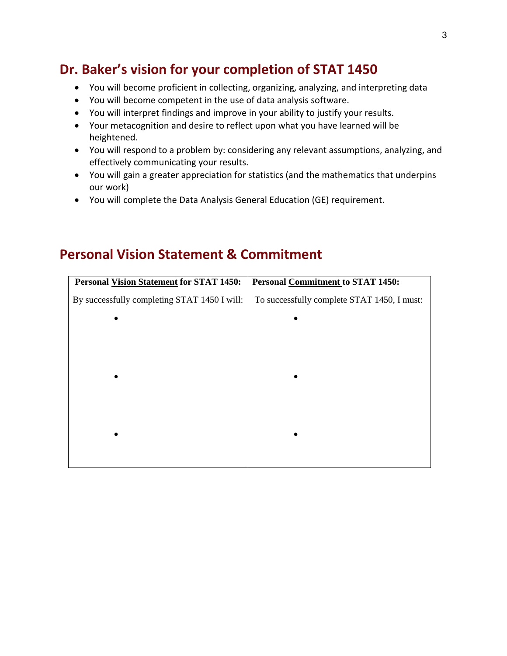## **Dr. Baker's vision for your completion of STAT 1450**

- You will become proficient in collecting, organizing, analyzing, and interpreting data
- You will become competent in the use of data analysis software.
- You will interpret findings and improve in your ability to justify your results.
- Your metacognition and desire to reflect upon what you have learned will be heightened.
- You will respond to a problem by: considering any relevant assumptions, analyzing, and effectively communicating your results.
- You will gain a greater appreciation for statistics (and the mathematics that underpins our work)
- You will complete the Data Analysis General Education (GE) requirement.

### **Personal Vision Statement & Commitment**

| <b>Personal Vision Statement for STAT 1450:</b> | <b>Personal Commitment to STAT 1450:</b>    |
|-------------------------------------------------|---------------------------------------------|
| By successfully completing STAT 1450 I will:    | To successfully complete STAT 1450, I must: |
| $\bullet$                                       | $\bullet$                                   |
|                                                 |                                             |
|                                                 |                                             |
| $\bullet$                                       |                                             |
|                                                 |                                             |
|                                                 |                                             |
|                                                 |                                             |
|                                                 |                                             |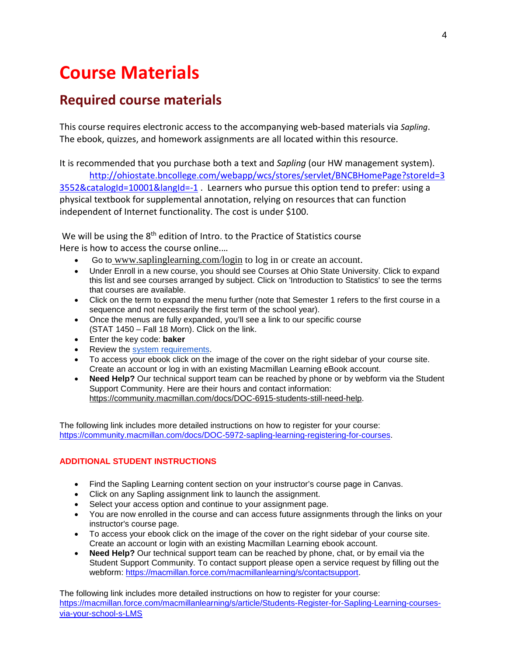# **Course Materials**

## **Required course materials**

This course requires electronic access to the accompanying web-based materials via *Sapling*. The ebook, quizzes, and homework assignments are all located within this resource.

It is recommended that you purchase both a text and *Sapling* (our HW management system). [http://ohiostate.bncollege.com/webapp/wcs/stores/servlet/BNCBHomePage?storeId=3](http://ohiostate.bncollege.com/webapp/wcs/stores/servlet/BNCBHomePage?storeId=33552&catalogId=10001&langId=-1) [3552&catalogId=10001&langId=-1](http://ohiostate.bncollege.com/webapp/wcs/stores/servlet/BNCBHomePage?storeId=33552&catalogId=10001&langId=-1) . Learners who pursue this option tend to prefer: using a physical textbook for supplemental annotation, relying on resources that can function independent of Internet functionality. The cost is under \$100.

We will be using the 8<sup>th</sup> edition of Intro. to the Practice of Statistics course Here is how to access the course online.…

- Go to [www.saplinglearning.com/login](http://www.saplinglearning.com/login) to log in or create an account.
- Under Enroll in a new course, you should see Courses at Ohio State University. Click to expand this list and see courses arranged by subject. Click on 'Introduction to Statistics' to see the terms that courses are available.
- Click on the term to expand the menu further (note that Semester 1 refers to the first course in a sequence and not necessarily the first term of the school year).
- Once the menus are fully expanded, you'll see a link to our specific course (STAT 1450 – Fall 18 Morn). Click on the link.
- Enter the key code: **baker**
- Review the [system requirements.](http://community.macmillan.com/docs/DOC-8042-what-are-the-minimum-system-requirements-for-your-media#Sapling)
- To access your ebook click on the image of the cover on the right sidebar of your course site. Create an account or log in with an existing Macmillan Learning eBook account.
- **Need Help?** Our technical support team can be reached by phon[e or by webform via the Student](https://community.macmillan.com/docs/DOC-6915-students-still-need-help)  Support Community. Here are their hours and contact information: [https://community.macmillan.com/docs/DOC-6915-students-still-need-help.](https://community.macmillan.com/docs/DOC-6915-students-still-need-help)

The following link includes more detailed instructions on how to register for your course: [https://community.macmillan.com/docs/DOC-5972-sapling-learning-registering-for-courses.](https://community.macmillan.com/docs/DOC-5972-sapling-learning-registering-for-courses)

#### **ADDITIONAL STUDENT INSTRUCTIONS**

- Find the Sapling Learning content section on your instructor's course page in Canvas.
- Click on any Sapling assignment link to launch the assignment.
- Select your access option and continue to your assignment page.
- You are now enrolled in the course and can access future assignments through the links on your instructor's course page.
- To access your ebook click on the image of the cover on the right sidebar of your course site. Create an account or login with an existing Macmillan Learning ebook account.
- **Need Help?** Our technical support team can be reached by phone, chat, or by email via the Student Support Community. To contact support please open a service request by filling out the webform: [https://macmillan.force.com/macmillanlearning/s/contactsupport.](https://macmillan.force.com/macmillanlearning/s/contactsupport)

The following link includes more detailed instructions on how to register for your course: [https://macmillan.force.com/macmillanlearning/s/article/Students-Register-for-Sapling-Learning-courses](https://macmillan.force.com/macmillanlearning/s/article/Students-Register-for-Sapling-Learning-courses-via-your-school-s-LMS)[via-your-school-s-LMS](https://macmillan.force.com/macmillanlearning/s/article/Students-Register-for-Sapling-Learning-courses-via-your-school-s-LMS)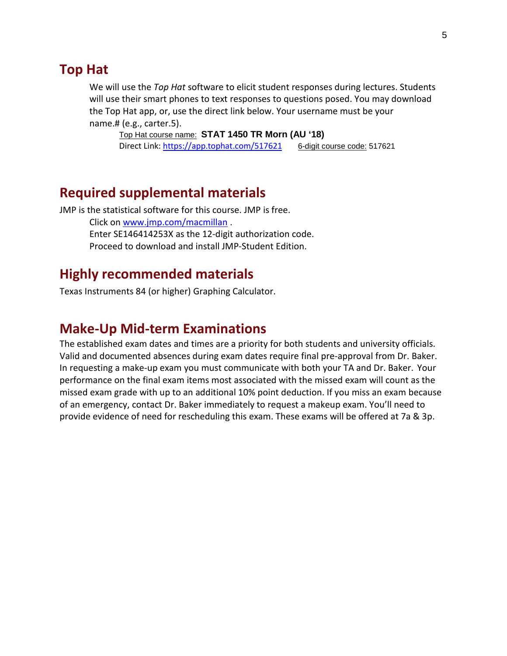### **Top Hat**

We will use the *Top Hat* software to elicit student responses during lectures. Students will use their smart phones to text responses to questions posed. You may download the Top Hat app, or, use the direct link below. Your username must be your name.# (e.g., carter.5).

Top Hat course name: **STAT 1450 TR Morn (AU '18)** Direct Link:<https://app.tophat.com/517621> 6-digit course code: 517621

### **Required supplemental materials**

JMP is the statistical software for this course. JMP is free. Click on [www.jmp.com/macmillan](http://www.jmp.com/macmillan) . Enter SE146414253X as the 12-digit authorization code. Proceed to download and install JMP-Student Edition.

### **Highly recommended materials**

Texas Instruments 84 (or higher) Graphing Calculator.

### **Make-Up Mid-term Examinations**

The established exam dates and times are a priority for both students and university officials. Valid and documented absences during exam dates require final pre-approval from Dr. Baker. In requesting a make-up exam you must communicate with both your TA and Dr. Baker. Your performance on the final exam items most associated with the missed exam will count as the missed exam grade with up to an additional 10% point deduction. If you miss an exam because of an emergency, contact Dr. Baker immediately to request a makeup exam. You'll need to provide evidence of need for rescheduling this exam. These exams will be offered at 7a & 3p.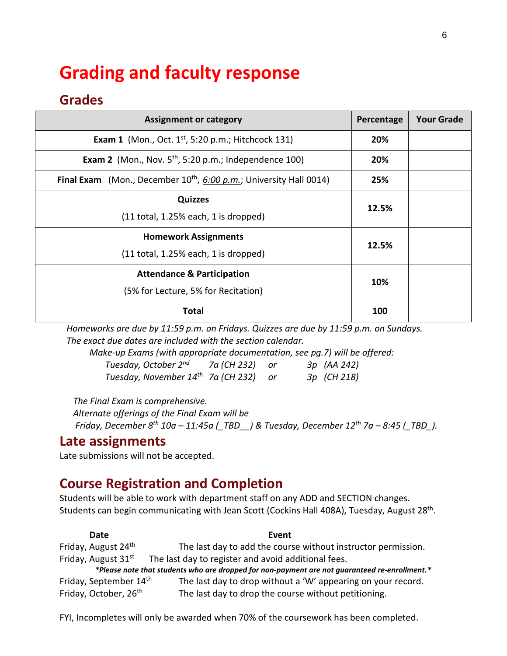# **Grading and faculty response**

## **Grades**

| <b>Assignment or category</b>                                                    | Percentage | <b>Your Grade</b> |
|----------------------------------------------------------------------------------|------------|-------------------|
| <b>Exam 1</b> (Mon., Oct. $1^{st}$ , 5:20 p.m.; Hitchcock 131)                   |            |                   |
| <b>Exam 2</b> (Mon., Nov. $5th$ , 5:20 p.m.; Independence 100)                   |            |                   |
| <b>Final Exam</b> (Mon., December $10^{th}$ , $6:00$ p.m.; University Hall 0014) | 25%        |                   |
| <b>Quizzes</b>                                                                   |            |                   |
| $(11$ total, 1.25% each, 1 is dropped)                                           | 12.5%      |                   |
| <b>Homework Assignments</b>                                                      |            |                   |
| $(11$ total, 1.25% each, 1 is dropped)                                           | 12.5%      |                   |
| <b>Attendance &amp; Participation</b>                                            |            |                   |
| (5% for Lecture, 5% for Recitation)                                              | 10%        |                   |
| Total                                                                            |            |                   |

 *Homeworks are due by 11:59 p.m. on Fridays. Quizzes are due by 11:59 p.m. on Sundays. The exact due dates are included with the section calendar.*

*Make-up Exams (with appropriate documentation, see pg.7) will be offered: Tuesday, October 2nd 7a (CH 232) or 3p (AA 242) Tuesday, November 14th 7a (CH 232) or 3p (CH 218)*

 *The Final Exam is comprehensive.* 

 *Alternate offerings of the Final Exam will be Friday, December 8th 10a – 11:45a (\_TBD\_\_) & Tuesday, December 12th 7a – 8:45 (\_TBD\_).*

### **Late assignments**

Late submissions will not be accepted.

## **Course Registration and Completion**

Students will be able to work with department staff on any ADD and SECTION changes. Students can begin communicating with Jean Scott (Cockins Hall 408A), Tuesday, August 28th.

**Date Event** Friday, August  $24<sup>th</sup>$  The last day to add the course without instructor permission. Friday, August  $31<sup>st</sup>$  The last day to register and avoid additional fees.  *\*Please note that students who are dropped for non-payment are not guaranteed re-enrollment.\**  Friday, September  $14<sup>th</sup>$  The last day to drop without a 'W' appearing on your record. Friday, October,  $26<sup>th</sup>$  The last day to drop the course without petitioning.

FYI, Incompletes will only be awarded when 70% of the coursework has been completed.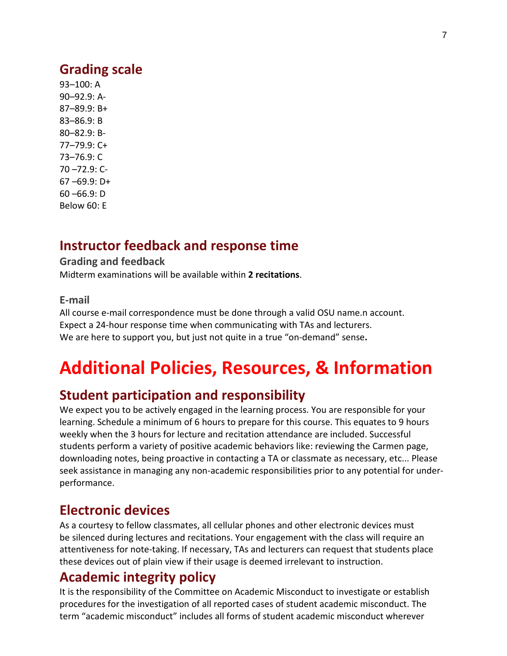### **Grading scale**

93–100: A 90–92.9: A-87–89.9: B+ 83–86.9: B 80–82.9: B-77–79.9: C+ 73–76.9: C 70 –72.9: C-67 –69.9: D+ 60 –66.9: D Below 60: E

### **Instructor feedback and response time**

#### **Grading and feedback**

Midterm examinations will be available within **2 recitations**.

#### **E-mail**

All course e-mail correspondence must be done through a valid OSU name.n account. Expect a 24-hour response time when communicating with TAs and lecturers. We are here to support you, but just not quite in a true "on-demand" sense**.**

# **Additional Policies, Resources, & Information**

### **Student participation and responsibility**

We expect you to be actively engaged in the learning process. You are responsible for your learning. Schedule a minimum of 6 hours to prepare for this course. This equates to 9 hours weekly when the 3 hours for lecture and recitation attendance are included. Successful students perform a variety of positive academic behaviors like: reviewing the Carmen page, downloading notes, being proactive in contacting a TA or classmate as necessary, etc... Please seek assistance in managing any non-academic responsibilities prior to any potential for underperformance.

### **Electronic devices**

As a courtesy to fellow classmates, all cellular phones and other electronic devices must be silenced during lectures and recitations. Your engagement with the class will require an attentiveness for note-taking. If necessary, TAs and lecturers can request that students place these devices out of plain view if their usage is deemed irrelevant to instruction.

### **Academic integrity policy**

It is the responsibility of the Committee on Academic Misconduct to investigate or establish procedures for the investigation of all reported cases of student academic misconduct. The term "academic misconduct" includes all forms of student academic misconduct wherever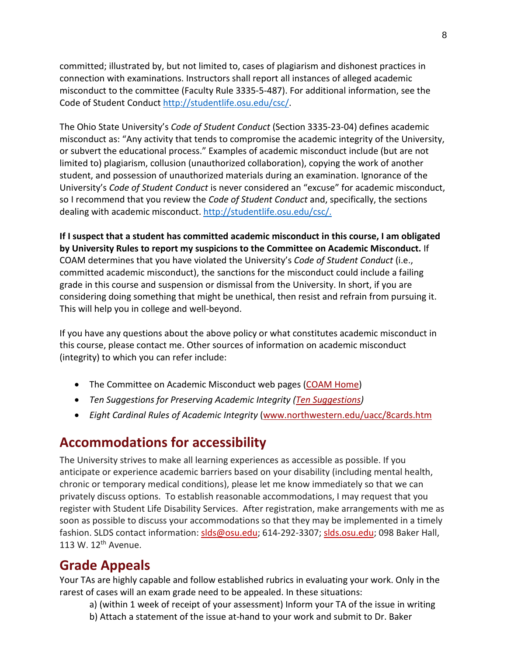committed; illustrated by, but not limited to, cases of plagiarism and dishonest practices in connection with examinations. Instructors shall report all instances of alleged academic misconduct to the committee (Faculty Rule 3335-5-487). For additional information, see the Code of Student Conduct [http://studentlife.osu.edu/csc/.](http://studentlife.osu.edu/csc/)

The Ohio State University's *Code of Student Conduct* (Section 3335-23-04) defines academic misconduct as: "Any activity that tends to compromise the academic integrity of the University, or subvert the educational process." Examples of academic misconduct include (but are not limited to) plagiarism, collusion (unauthorized collaboration), copying the work of another student, and possession of unauthorized materials during an examination. Ignorance of the University's *Code of Student Conduct* is never considered an "excuse" for academic misconduct, so I recommend that you review the *Code of Student Conduct* and, specifically, the sections dealing with academic misconduct[. http://studentlife.osu.edu/csc/.](http://studentlife.osu.edu/csc/)

**If I suspect that a student has committed academic misconduct in this course, I am obligated by University Rules to report my suspicions to the Committee on Academic Misconduct.** If COAM determines that you have violated the University's *Code of Student Conduct* (i.e., committed academic misconduct), the sanctions for the misconduct could include a failing grade in this course and suspension or dismissal from the University. In short, if you are considering doing something that might be unethical, then resist and refrain from pursuing it. This will help you in college and well-beyond.

If you have any questions about the above policy or what constitutes academic misconduct in this course, please contact me. Other sources of information on academic misconduct (integrity) to which you can refer include:

- The Committee on Academic Misconduct web pages [\(COAM Home\)](http://oaa.osu.edu/coam.html)
- *Ten Suggestions for Preserving Academic Integrity [\(Ten Suggestions\)](http://oaa.osu.edu/coamtensuggestions.html)*
- *Eight Cardinal Rules of Academic Integrity* [\(www.northwestern.edu/uacc/8cards.htm](http://www.northwestern.edu/uacc/8cards.html)

### **Accommodations for accessibility**

The University strives to make all learning experiences as accessible as possible. If you anticipate or experience academic barriers based on your disability (including mental health, chronic or temporary medical conditions), please let me know immediately so that we can privately discuss options. To establish reasonable accommodations, I may request that you register with Student Life Disability Services. After registration, make arrangements with me as soon as possible to discuss your accommodations so that they may be implemented in a timely fashion. SLDS contact information: [slds@osu.edu;](mailto:slds@osu.edu) 614-292-3307; [slds.osu.edu;](http://www.ods.ohio-state.edu/) 098 Baker Hall, 113 W. 12<sup>th</sup> Avenue.

## **Grade Appeals**

Your TAs are highly capable and follow established rubrics in evaluating your work. Only in the rarest of cases will an exam grade need to be appealed. In these situations:

- a) (within 1 week of receipt of your assessment) Inform your TA of the issue in writing
- b) Attach a statement of the issue at-hand to your work and submit to Dr. Baker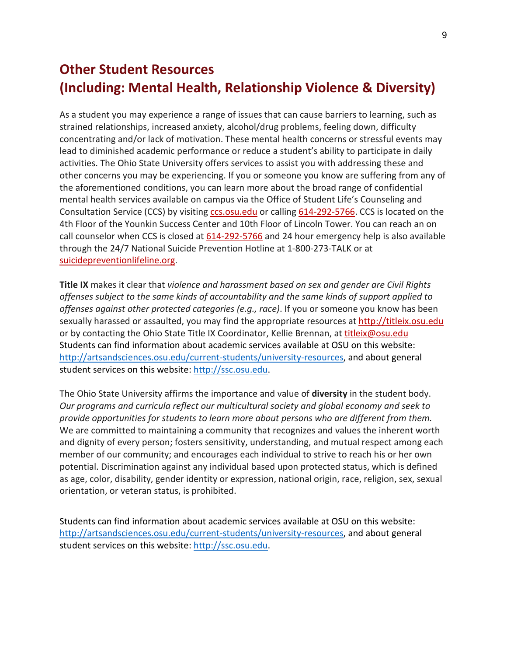## **Other Student Resources (Including: Mental Health, Relationship Violence & Diversity)**

As a student you may experience a range of issues that can cause barriers to learning, such as strained relationships, increased anxiety, alcohol/drug problems, feeling down, difficulty concentrating and/or lack of motivation. These mental health concerns or stressful events may lead to diminished academic performance or reduce a student's ability to participate in daily activities. The Ohio State University offers services to assist you with addressing these and other concerns you may be experiencing. If you or someone you know are suffering from any of the aforementioned conditions, you can learn more about the broad range of confidential mental health services available on campus via the Office of Student Life's Counseling and Consultation Service (CCS) by visiting [ccs.osu.edu](http://ccs.osu.edu/) or calling [614-292-5766.](tel:%28614%29%20292-5766) CCS is located on the 4th Floor of the Younkin Success Center and 10th Floor of Lincoln Tower. You can reach an on call counselor when CCS is closed at [614-292-5766](tel:%28614%29%20292-5766) and 24 hour emergency help is also available through the 24/7 National Suicide Prevention Hotline at 1-800-273-TALK or at [suicidepreventionlifeline.org.](http://suicidepreventionlifeline.org/)

**Title IX** makes it clear that *violence and harassment based on sex and gender are Civil Rights offenses subject to the same kinds of accountability and the same kinds of support applied to offenses against other protected categories (e.g., race)*. If you or someone you know has been sexually harassed or assaulted, you may find the appropriate resources at [http://titleix.osu.edu](http://titleix.osu.edu/) or by contacting the Ohio State Title IX Coordinator, Kellie Brennan, at [titleix@osu.edu](mailto:titleix@osu.edu) Students can find information about academic services available at OSU on this website: [http://artsandsciences.osu.edu/current-students/university-resources,](http://artsandsciences.osu.edu/current-students/university-resources) and about general student services on this website: [http://ssc.osu.edu.](http://ssc.osu.edu/)

The Ohio State University affirms the importance and value of **diversity** in the student body. *Our programs and curricula reflect our multicultural society and global economy and seek to provide opportunities for students to learn more about persons who are different from them.* We are committed to maintaining a community that recognizes and values the inherent worth and dignity of every person; fosters sensitivity, understanding, and mutual respect among each member of our community; and encourages each individual to strive to reach his or her own potential. Discrimination against any individual based upon protected status, which is defined as age, color, disability, gender identity or expression, national origin, race, religion, sex, sexual orientation, or veteran status, is prohibited.

Students can find information about academic services available at OSU on this website: [http://artsandsciences.osu.edu/current-students/university-resources,](http://artsandsciences.osu.edu/current-students/university-resources) and about general student services on this website: [http://ssc.osu.edu.](http://ssc.osu.edu/)